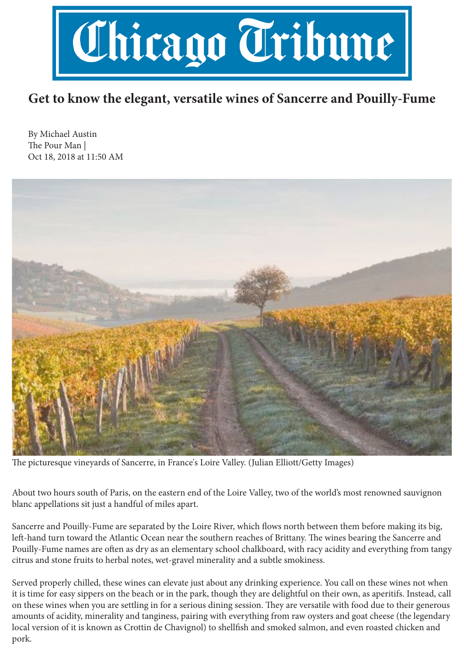

## **Get to know the elegant, versatile wines of Sancerre and Pouilly-Fume**

By Michael Austin The Pour Man | Oct 18, 2018 at 11:50 AM



The picturesque vineyards of Sancerre, in France's Loire Valley. (Julian Elliott/Getty Images)

About two hours south of Paris, on the eastern end of the Loire Valley, two of the world's most renowned sauvignon blanc appellations sit just a handful of miles apart.

Sancerre and Pouilly-Fume are separated by the Loire River, which flows north between them before making its big, left-hand turn toward the Atlantic Ocean near the southern reaches of Brittany. The wines bearing the Sancerre and Pouilly-Fume names are often as dry as an elementary school chalkboard, with racy acidity and everything from tangy citrus and stone fruits to herbal notes, wet-gravel minerality and a subtle smokiness.

Served properly chilled, these wines can elevate just about any drinking experience. You call on these wines not when it is time for easy sippers on the beach or in the park, though they are delightful on their own, as aperitifs. Instead, call on these wines when you are settling in for a serious dining session. They are versatile with food due to their generous amounts of acidity, minerality and tanginess, pairing with everything from raw oysters and goat cheese (the legendary local version of it is known as Crottin de Chavignol) to shellfish and smoked salmon, and even roasted chicken and pork.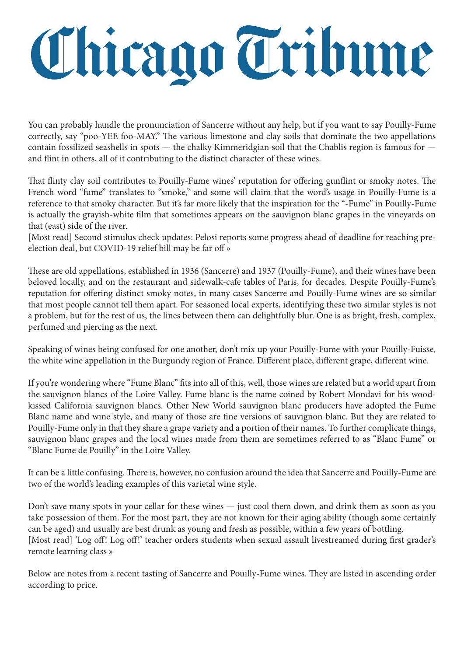## Chicago Tribune

You can probably handle the pronunciation of Sancerre without any help, but if you want to say Pouilly-Fume correctly, say "poo-YEE foo-MAY." The various limestone and clay soils that dominate the two appellations contain fossilized seashells in spots — the chalky Kimmeridgian soil that the Chablis region is famous for and flint in others, all of it contributing to the distinct character of these wines.

That flinty clay soil contributes to Pouilly-Fume wines' reputation for offering gunflint or smoky notes. The French word "fume" translates to "smoke," and some will claim that the word's usage in Pouilly-Fume is a reference to that smoky character. But it's far more likely that the inspiration for the "-Fume" in Pouilly-Fume is actually the grayish-white film that sometimes appears on the sauvignon blanc grapes in the vineyards on that (east) side of the river.

[Most read] Second stimulus check updates: Pelosi reports some progress ahead of deadline for reaching preelection deal, but COVID-19 relief bill may be far off »

These are old appellations, established in 1936 (Sancerre) and 1937 (Pouilly-Fume), and their wines have been beloved locally, and on the restaurant and sidewalk-cafe tables of Paris, for decades. Despite Pouilly-Fume's reputation for offering distinct smoky notes, in many cases Sancerre and Pouilly-Fume wines are so similar that most people cannot tell them apart. For seasoned local experts, identifying these two similar styles is not a problem, but for the rest of us, the lines between them can delightfully blur. One is as bright, fresh, complex, perfumed and piercing as the next.

Speaking of wines being confused for one another, don't mix up your Pouilly-Fume with your Pouilly-Fuisse, the white wine appellation in the Burgundy region of France. Different place, different grape, different wine.

If you're wondering where "Fume Blanc" fits into all of this, well, those wines are related but a world apart from the sauvignon blancs of the Loire Valley. Fume blanc is the name coined by Robert Mondavi for his woodkissed California sauvignon blancs. Other New World sauvignon blanc producers have adopted the Fume Blanc name and wine style, and many of those are fine versions of sauvignon blanc. But they are related to Pouilly-Fume only in that they share a grape variety and a portion of their names. To further complicate things, sauvignon blanc grapes and the local wines made from them are sometimes referred to as "Blanc Fume" or "Blanc Fume de Pouilly" in the Loire Valley.

It can be a little confusing. There is, however, no confusion around the idea that Sancerre and Pouilly-Fume are two of the world's leading examples of this varietal wine style.

Don't save many spots in your cellar for these wines — just cool them down, and drink them as soon as you take possession of them. For the most part, they are not known for their aging ability (though some certainly can be aged) and usually are best drunk as young and fresh as possible, within a few years of bottling. [Most read] 'Log off! Log off!' teacher orders students when sexual assault livestreamed during first grader's remote learning class »

Below are notes from a recent tasting of Sancerre and Pouilly-Fume wines. They are listed in ascending order according to price.